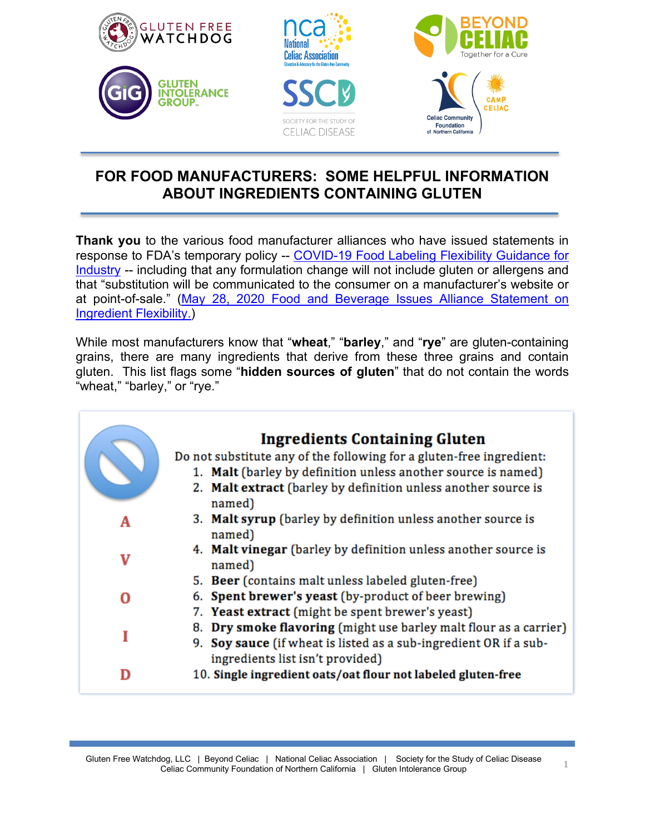

## **FOR FOOD MANUFACTURERS: SOME HELPFUL INFORMATION ABOUT INGREDIENTS CONTAINING GLUTEN**

**Thank you** to the various food manufacturer alliances who have issued statements in response to FDA's temporary policy -- [COVID-19 Food Labeling Flexibility Guidance for](https://www.fda.gov/regulatory-information/search-fda-guidance-documents/temporary-policy-regarding-certain-food-labeling-requirements-during-covid-19-public-health)  [Industry](https://www.fda.gov/regulatory-information/search-fda-guidance-documents/temporary-policy-regarding-certain-food-labeling-requirements-during-covid-19-public-health) -- including that any formulation change will not include gluten or allergens and that "substitution will be communicated to the consumer on a manufacturer's website or at point-of-sale." [\(May 28, 2020 Food and Beverage Issues Alliance Statement on](https://static1.squarespace.com/static/5e7d1107dac60a6b3e3f098d/t/5ed0431531c1a80efe243d6f/1590706966867/FBIA+Statement+on+Ingredient+Flexibility+5.28.20.pdf)  [Ingredient Flexibility.\)](https://static1.squarespace.com/static/5e7d1107dac60a6b3e3f098d/t/5ed0431531c1a80efe243d6f/1590706966867/FBIA+Statement+on+Ingredient+Flexibility+5.28.20.pdf)

While most manufacturers know that "**wheat**," "**barley**," and "**rye**" are gluten-containing grains, there are many ingredients that derive from these three grains and contain gluten. This list flags some "**hidden sources of gluten**" that do not contain the words "wheat," "barley," or "rye."

|   | <b>Ingredients Containing Gluten</b><br>Do not substitute any of the following for a gluten-free ingredient:<br>1. Malt (barley by definition unless another source is named)<br>2. Malt extract (barley by definition unless another source is<br>named) |
|---|-----------------------------------------------------------------------------------------------------------------------------------------------------------------------------------------------------------------------------------------------------------|
| A | 3. Malt syrup (barley by definition unless another source is                                                                                                                                                                                              |
| V | named)<br>4. Malt vinegar (barley by definition unless another source is<br>named)                                                                                                                                                                        |
| 0 | 5. Beer (contains malt unless labeled gluten-free)<br>6. Spent brewer's yeast (by-product of beer brewing)<br>7. Yeast extract (might be spent brewer's yeast)                                                                                            |
| I | 8. Dry smoke flavoring (might use barley malt flour as a carrier)<br>9. Soy sauce (if wheat is listed as a sub-ingredient OR if a sub-<br>ingredients list isn't provided)                                                                                |
| n | 10. Single ingredient oats/oat flour not labeled gluten-free                                                                                                                                                                                              |